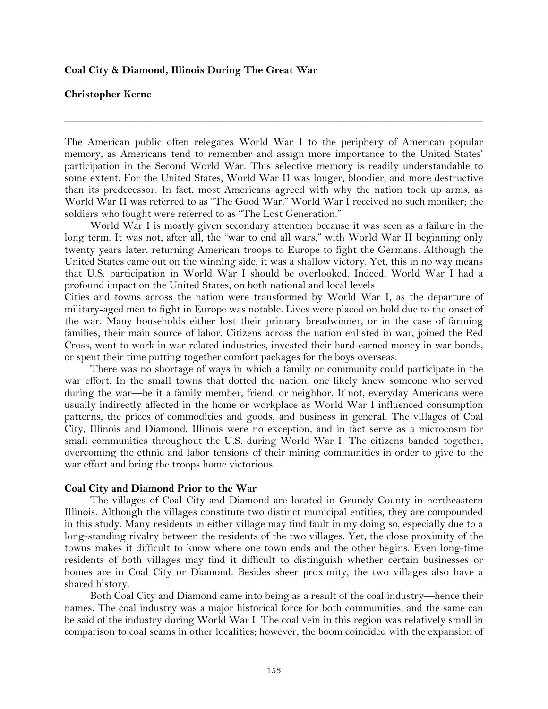#### **Coal City & Diamond, Illinois During The Great War**

### **Christopher Kernc**

The American public often relegates World War I to the periphery of American popular memory, as Americans tend to remember and assign more importance to the United States' participation in the Second World War. This selective memory is readily understandable to some extent. For the United States, World War II was longer, bloodier, and more destructive than its predecessor. In fact, most Americans agreed with why the nation took up arms, as World War II was referred to as "The Good War." World War I received no such moniker; the soldiers who fought were referred to as "The Lost Generation."

**\_\_\_\_\_\_\_\_\_\_\_\_\_\_\_\_\_\_\_\_\_\_\_\_\_\_\_\_\_\_\_\_\_\_\_\_\_\_\_\_\_\_\_\_\_\_\_\_\_\_\_\_\_\_\_\_\_\_\_\_\_\_\_\_\_\_\_\_\_\_\_\_\_\_\_\_\_\_**

World War I is mostly given secondary attention because it was seen as a failure in the long term. It was not, after all, the "war to end all wars," with World War II beginning only twenty years later, returning American troops to Europe to fight the Germans. Although the United States came out on the winning side, it was a shallow victory. Yet, this in no way means that U.S. participation in World War I should be overlooked. Indeed, World War I had a profound impact on the United States, on both national and local levels

Cities and towns across the nation were transformed by World War I, as the departure of military-aged men to fight in Europe was notable. Lives were placed on hold due to the onset of the war. Many households either lost their primary breadwinner, or in the case of farming families, their main source of labor. Citizens across the nation enlisted in war, joined the Red Cross, went to work in war related industries, invested their hard-earned money in war bonds, or spent their time putting together comfort packages for the boys overseas.

There was no shortage of ways in which a family or community could participate in the war effort. In the small towns that dotted the nation, one likely knew someone who served during the war—be it a family member, friend, or neighbor. If not, everyday Americans were usually indirectly affected in the home or workplace as World War I influenced consumption patterns, the prices of commodities and goods, and business in general. The villages of Coal City, Illinois and Diamond, Illinois were no exception, and in fact serve as a microcosm for small communities throughout the U.S. during World War I. The citizens banded together, overcoming the ethnic and labor tensions of their mining communities in order to give to the war effort and bring the troops home victorious.

### **Coal City and Diamond Prior to the War**

The villages of Coal City and Diamond are located in Grundy County in northeastern Illinois. Although the villages constitute two distinct municipal entities, they are compounded in this study. Many residents in either village may find fault in my doing so, especially due to a long-standing rivalry between the residents of the two villages. Yet, the close proximity of the towns makes it difficult to know where one town ends and the other begins. Even long-time residents of both villages may find it difficult to distinguish whether certain businesses or homes are in Coal City or Diamond. Besides sheer proximity, the two villages also have a shared history.

Both Coal City and Diamond came into being as a result of the coal industry—hence their names. The coal industry was a major historical force for both communities, and the same can be said of the industry during World War I. The coal vein in this region was relatively small in comparison to coal seams in other localities; however, the boom coincided with the expansion of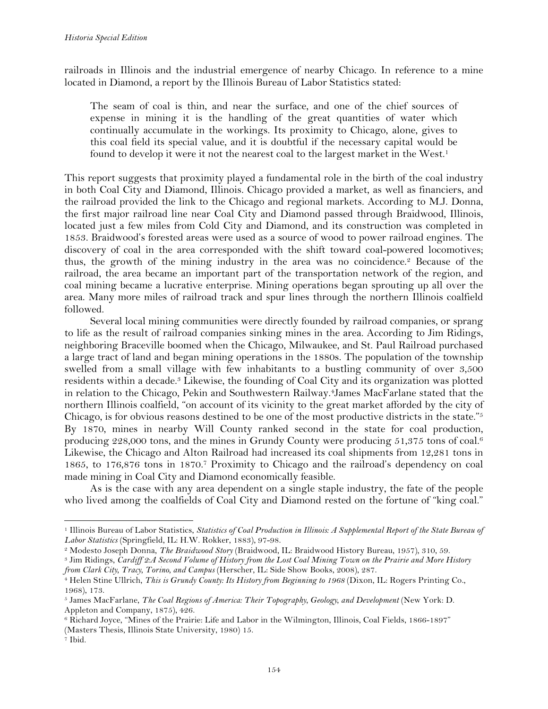railroads in Illinois and the industrial emergence of nearby Chicago. In reference to a mine located in Diamond, a report by the Illinois Bureau of Labor Statistics stated:

The seam of coal is thin, and near the surface, and one of the chief sources of expense in mining it is the handling of the great quantities of water which continually accumulate in the workings. Its proximity to Chicago, alone, gives to this coal field its special value, and it is doubtful if the necessary capital would be found to develop it were it not the nearest coal to the largest market in the West.<sup>1</sup>

This report suggests that proximity played a fundamental role in the birth of the coal industry in both Coal City and Diamond, Illinois. Chicago provided a market, as well as financiers, and the railroad provided the link to the Chicago and regional markets. According to M.J. Donna, the first major railroad line near Coal City and Diamond passed through Braidwood, Illinois, located just a few miles from Cold City and Diamond, and its construction was completed in 1853. Braidwood's forested areas were used as a source of wood to power railroad engines. The discovery of coal in the area corresponded with the shift toward coal-powered locomotives; thus, the growth of the mining industry in the area was no coincidence.<sup>2</sup> Because of the railroad, the area became an important part of the transportation network of the region, and coal mining became a lucrative enterprise. Mining operations began sprouting up all over the area. Many more miles of railroad track and spur lines through the northern Illinois coalfield followed.

Several local mining communities were directly founded by railroad companies, or sprang to life as the result of railroad companies sinking mines in the area. According to Jim Ridings, neighboring Braceville boomed when the Chicago, Milwaukee, and St. Paul Railroad purchased a large tract of land and began mining operations in the 1880s. The population of the township swelled from a small village with few inhabitants to a bustling community of over 3,500 residents within a decade.3 Likewise, the founding of Coal City and its organization was plotted in relation to the Chicago, Pekin and Southwestern Railway.4James MacFarlane stated that the northern Illinois coalfield, "on account of its vicinity to the great market afforded by the city of Chicago, is for obvious reasons destined to be one of the most productive districts in the state."5 By 1870, mines in nearby Will County ranked second in the state for coal production, producing 228,000 tons, and the mines in Grundy County were producing 51,375 tons of coal.<sup>6</sup> Likewise, the Chicago and Alton Railroad had increased its coal shipments from 12,281 tons in 1865, to 176,876 tons in 1870.7 Proximity to Chicago and the railroad's dependency on coal made mining in Coal City and Diamond economically feasible.

As is the case with any area dependent on a single staple industry, the fate of the people who lived among the coalfields of Coal City and Diamond rested on the fortune of "king coal."

<sup>1</sup> Illinois Bureau of Labor Statistics, *Statistics of Coal Production in Illinois: A Supplemental Report of the State Bureau of Labor Statistics* (Springfield, IL: H.W. Rokker, 1883), 97-98.

<sup>2</sup> Modesto Joseph Donna, *The Braidwood Story* (Braidwood, IL: Braidwood History Bureau, 1957), 310, 59.

<sup>3</sup> Jim Ridings, *Cardiff 2:A Second Volume of History from the Lost Coal Mining Town on the Prairie and More History from Clark City, Tracy, Torino, and Campus* (Herscher, IL: Side Show Books, 2008), 287.

<sup>4</sup> Helen Stine Ullrich, *This is Grundy County: Its History from Beginning to 1968* (Dixon, IL: Rogers Printing Co., 1968), 173.

<sup>5</sup> James MacFarlane, *The Coal Regions of America: Their Topography, Geology, and Development* (New York: D. Appleton and Company, 1875), 426.

<sup>6</sup> Richard Joyce, "Mines of the Prairie: Life and Labor in the Wilmington, Illinois, Coal Fields, 1866-1897" (Masters Thesis, Illinois State University, 1980) 15.

<sup>7</sup> Ibid.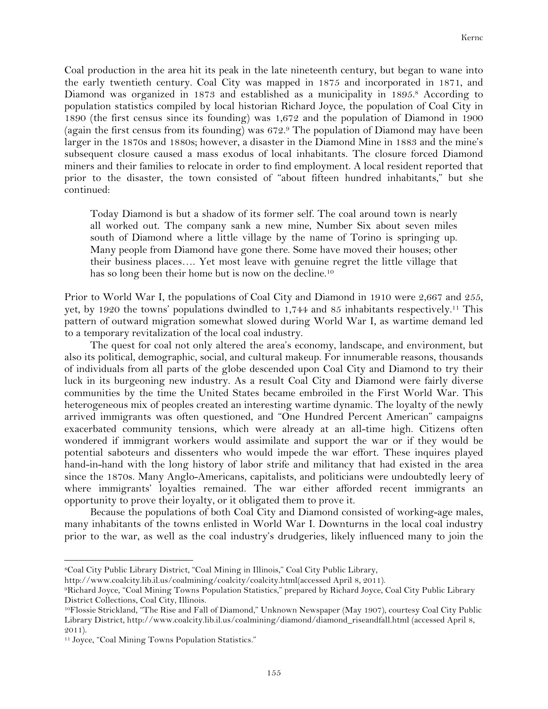Coal production in the area hit its peak in the late nineteenth century, but began to wane into the early twentieth century. Coal City was mapped in 1875 and incorporated in 1871, and Diamond was organized in 1873 and established as a municipality in 1895.<sup>8</sup> According to population statistics compiled by local historian Richard Joyce, the population of Coal City in 1890 (the first census since its founding) was 1,672 and the population of Diamond in 1900 (again the first census from its founding) was 672.9 The population of Diamond may have been larger in the 1870s and 1880s; however, a disaster in the Diamond Mine in 1883 and the mine's subsequent closure caused a mass exodus of local inhabitants. The closure forced Diamond miners and their families to relocate in order to find employment. A local resident reported that prior to the disaster, the town consisted of "about fifteen hundred inhabitants," but she continued:

Today Diamond is but a shadow of its former self. The coal around town is nearly all worked out. The company sank a new mine, Number Six about seven miles south of Diamond where a little village by the name of Torino is springing up. Many people from Diamond have gone there. Some have moved their houses; other their business places…. Yet most leave with genuine regret the little village that has so long been their home but is now on the decline.<sup>10</sup>

Prior to World War I, the populations of Coal City and Diamond in 1910 were 2,667 and 255, yet, by 1920 the towns' populations dwindled to 1,744 and 85 inhabitants respectively.11 This pattern of outward migration somewhat slowed during World War I, as wartime demand led to a temporary revitalization of the local coal industry.

The quest for coal not only altered the area's economy, landscape, and environment, but also its political, demographic, social, and cultural makeup. For innumerable reasons, thousands of individuals from all parts of the globe descended upon Coal City and Diamond to try their luck in its burgeoning new industry. As a result Coal City and Diamond were fairly diverse communities by the time the United States became embroiled in the First World War. This heterogeneous mix of peoples created an interesting wartime dynamic. The loyalty of the newly arrived immigrants was often questioned, and "One Hundred Percent American" campaigns exacerbated community tensions, which were already at an all-time high. Citizens often wondered if immigrant workers would assimilate and support the war or if they would be potential saboteurs and dissenters who would impede the war effort. These inquires played hand-in-hand with the long history of labor strife and militancy that had existed in the area since the 1870s. Many Anglo-Americans, capitalists, and politicians were undoubtedly leery of where immigrants' loyalties remained. The war either afforded recent immigrants an opportunity to prove their loyalty, or it obligated them to prove it.

Because the populations of both Coal City and Diamond consisted of working-age males, many inhabitants of the towns enlisted in World War I. Downturns in the local coal industry prior to the war, as well as the coal industry's drudgeries, likely influenced many to join the

<sup>8</sup>Coal City Public Library District, "Coal Mining in Illinois," Coal City Public Library,

http://www.coalcity.lib.il.us/coalmining/coalcity/coalcity.html(accessed April 8, 2011).

<sup>9</sup>Richard Joyce, "Coal Mining Towns Population Statistics," prepared by Richard Joyce, Coal City Public Library District Collections, Coal City, Illinois.

<sup>10</sup>Flossie Strickland, "The Rise and Fall of Diamond," Unknown Newspaper (May 1907), courtesy Coal City Public Library District, http://www.coalcity.lib.il.us/coalmining/diamond/diamond\_riseandfall.html (accessed April 8, 2011).

<sup>&</sup>lt;sup>11</sup> Joyce, "Coal Mining Towns Population Statistics."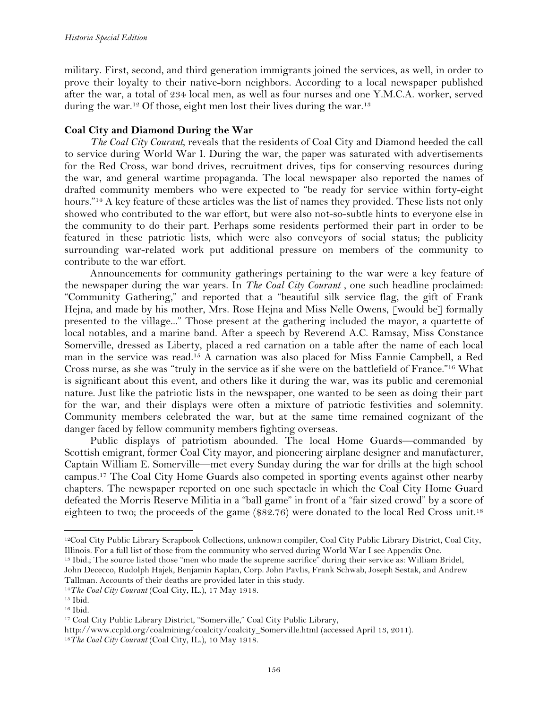military. First, second, and third generation immigrants joined the services, as well, in order to prove their loyalty to their native-born neighbors. According to a local newspaper published after the war, a total of 234 local men, as well as four nurses and one Y.M.C.A. worker, served during the war.<sup>12</sup> Of those, eight men lost their lives during the war.<sup>13</sup>

# **Coal City and Diamond During the War**

*The Coal City Courant*, reveals that the residents of Coal City and Diamond heeded the call to service during World War I. During the war, the paper was saturated with advertisements for the Red Cross, war bond drives, recruitment drives, tips for conserving resources during the war, and general wartime propaganda. The local newspaper also reported the names of drafted community members who were expected to "be ready for service within forty-eight hours."<sup>14</sup> A key feature of these articles was the list of names they provided. These lists not only showed who contributed to the war effort, but were also not-so-subtle hints to everyone else in the community to do their part. Perhaps some residents performed their part in order to be featured in these patriotic lists, which were also conveyors of social status; the publicity surrounding war-related work put additional pressure on members of the community to contribute to the war effort.

Announcements for community gatherings pertaining to the war were a key feature of the newspaper during the war years. In *The Coal City Courant* , one such headline proclaimed: "Community Gathering," and reported that a "beautiful silk service flag, the gift of Frank Hejna, and made by his mother, Mrs. Rose Hejna and Miss Nelle Owens, [would be] formally presented to the village..." Those present at the gathering included the mayor, a quartette of local notables, and a marine band. After a speech by Reverend A.C. Ramsay, Miss Constance Somerville, dressed as Liberty, placed a red carnation on a table after the name of each local man in the service was read.15 A carnation was also placed for Miss Fannie Campbell, a Red Cross nurse, as she was "truly in the service as if she were on the battlefield of France."16 What is significant about this event, and others like it during the war, was its public and ceremonial nature. Just like the patriotic lists in the newspaper, one wanted to be seen as doing their part for the war, and their displays were often a mixture of patriotic festivities and solemnity. Community members celebrated the war, but at the same time remained cognizant of the danger faced by fellow community members fighting overseas.

Public displays of patriotism abounded. The local Home Guards—commanded by Scottish emigrant, former Coal City mayor, and pioneering airplane designer and manufacturer, Captain William E. Somerville—met every Sunday during the war for drills at the high school campus.17 The Coal City Home Guards also competed in sporting events against other nearby chapters. The newspaper reported on one such spectacle in which the Coal City Home Guard defeated the Morris Reserve Militia in a "ball game" in front of a "fair sized crowd" by a score of eighteen to two; the proceeds of the game (\$82.76) were donated to the local Red Cross unit.<sup>18</sup>

<sup>13</sup> Ibid.; The source listed those "men who made the supreme sacrifice" during their service as: William Bridel, John Dececco, Rudolph Hajek, Benjamin Kaplan, Corp. John Pavlis, Frank Schwab, Joseph Sestak, and Andrew Tallman. Accounts of their deaths are provided later in this study.

<sup>12</sup>Coal City Public Library Scrapbook Collections, unknown compiler, Coal City Public Library District, Coal City, Illinois. For a full list of those from the community who served during World War I see Appendix One.

<sup>14</sup>*The Coal City Courant* (Coal City, IL.), 17 May 1918.

<sup>15</sup> Ibid.

<sup>16</sup> Ibid.

<sup>&</sup>lt;sup>17</sup> Coal City Public Library District, "Somerville," Coal City Public Library,

http://www.ccpld.org/coalmining/coalcity/coalcity\_Somerville.html (accessed April 13, 2011). 18*The Coal City Courant* (Coal City, IL.), 10 May 1918.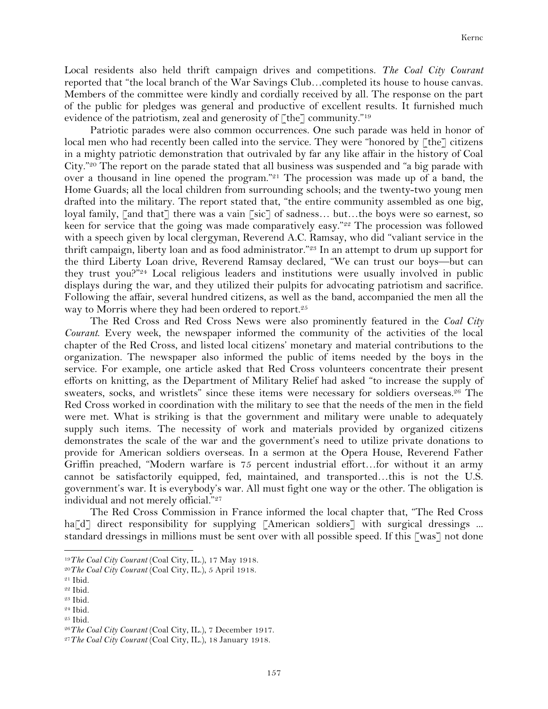Local residents also held thrift campaign drives and competitions. *The Coal City Courant*  reported that "the local branch of the War Savings Club…completed its house to house canvas. Members of the committee were kindly and cordially received by all. The response on the part of the public for pledges was general and productive of excellent results. It furnished much evidence of the patriotism, zeal and generosity of  $\lceil$  the $\rceil$  community."<sup>19</sup>

Patriotic parades were also common occurrences. One such parade was held in honor of local men who had recently been called into the service. They were "honored by [the] citizens in a mighty patriotic demonstration that outrivaled by far any like affair in the history of Coal City."20 The report on the parade stated that all business was suspended and "a big parade with over a thousand in line opened the program."<sup>21</sup> The procession was made up of a band, the Home Guards; all the local children from surrounding schools; and the twenty-two young men drafted into the military. The report stated that, "the entire community assembled as one big, loyal family, [and that] there was a vain [sic] of sadness... but...the boys were so earnest, so keen for service that the going was made comparatively easy."<sup>22</sup> The procession was followed with a speech given by local clergyman, Reverend A.C. Ramsay, who did "valiant service in the thrift campaign, liberty loan and as food administrator."<sup>23</sup> In an attempt to drum up support for the third Liberty Loan drive, Reverend Ramsay declared, "We can trust our boys—but can they trust you?"24 Local religious leaders and institutions were usually involved in public displays during the war, and they utilized their pulpits for advocating patriotism and sacrifice. Following the affair, several hundred citizens, as well as the band, accompanied the men all the way to Morris where they had been ordered to report.<sup>25</sup>

The Red Cross and Red Cross News were also prominently featured in the *Coal City Courant*. Every week, the newspaper informed the community of the activities of the local chapter of the Red Cross, and listed local citizens' monetary and material contributions to the organization. The newspaper also informed the public of items needed by the boys in the service. For example, one article asked that Red Cross volunteers concentrate their present efforts on knitting, as the Department of Military Relief had asked "to increase the supply of sweaters, socks, and wristlets" since these items were necessary for soldiers overseas.26 The Red Cross worked in coordination with the military to see that the needs of the men in the field were met. What is striking is that the government and military were unable to adequately supply such items. The necessity of work and materials provided by organized citizens demonstrates the scale of the war and the government's need to utilize private donations to provide for American soldiers overseas. In a sermon at the Opera House, Reverend Father Griffin preached, "Modern warfare is 75 percent industrial effort…for without it an army cannot be satisfactorily equipped, fed, maintained, and transported…this is not the U.S. government's war. It is everybody's war. All must fight one way or the other. The obligation is individual and not merely official."27

The Red Cross Commission in France informed the local chapter that, "The Red Cross ha<sup>[d]</sup> direct responsibility for supplying [American soldiers] with surgical dressings ... standard dressings in millions must be sent over with all possible speed. If this [was] not done

<sup>19</sup>*The Coal City Courant* (Coal City, IL.), 17 May 1918.

<sup>20</sup>*The Coal City Courant* (Coal City, IL.), 5 April 1918.

<sup>21</sup> Ibid.

<sup>22</sup> Ibid.

<sup>23</sup> Ibid.

<sup>24</sup> Ibid.

<sup>25</sup> Ibid.

<sup>26</sup>*The Coal City Courant* (Coal City, IL.), 7 December 1917.

<sup>27</sup>*The Coal City Courant* (Coal City, IL.), 18 January 1918.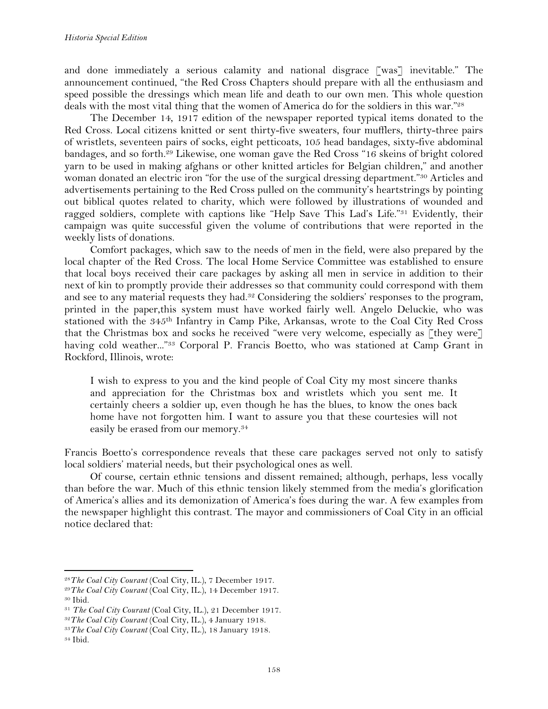and done immediately a serious calamity and national disgrace [was] inevitable." The announcement continued, "the Red Cross Chapters should prepare with all the enthusiasm and speed possible the dressings which mean life and death to our own men. This whole question deals with the most vital thing that the women of America do for the soldiers in this war."28

The December 14, 1917 edition of the newspaper reported typical items donated to the Red Cross. Local citizens knitted or sent thirty-five sweaters, four mufflers, thirty-three pairs of wristlets, seventeen pairs of socks, eight petticoats, 105 head bandages, sixty-five abdominal bandages, and so forth.29 Likewise, one woman gave the Red Cross "16 skeins of bright colored yarn to be used in making afghans or other knitted articles for Belgian children," and another woman donated an electric iron "for the use of the surgical dressing department."<sup>30</sup> Articles and advertisements pertaining to the Red Cross pulled on the community's heartstrings by pointing out biblical quotes related to charity, which were followed by illustrations of wounded and ragged soldiers, complete with captions like "Help Save This Lad's Life."31 Evidently, their campaign was quite successful given the volume of contributions that were reported in the weekly lists of donations.

Comfort packages, which saw to the needs of men in the field, were also prepared by the local chapter of the Red Cross. The local Home Service Committee was established to ensure that local boys received their care packages by asking all men in service in addition to their next of kin to promptly provide their addresses so that community could correspond with them and see to any material requests they had.32 Considering the soldiers' responses to the program, printed in the paper,this system must have worked fairly well. Angelo Deluckie, who was stationed with the 345<sup>th</sup> Infantry in Camp Pike, Arkansas, wrote to the Coal City Red Cross that the Christmas box and socks he received "were very welcome, especially as [they were] having cold weather..."<sup>33</sup> Corporal P. Francis Boetto, who was stationed at Camp Grant in Rockford, Illinois, wrote:

I wish to express to you and the kind people of Coal City my most sincere thanks and appreciation for the Christmas box and wristlets which you sent me. It certainly cheers a soldier up, even though he has the blues, to know the ones back home have not forgotten him. I want to assure you that these courtesies will not easily be erased from our memory.34

Francis Boetto's correspondence reveals that these care packages served not only to satisfy local soldiers' material needs, but their psychological ones as well.

Of course, certain ethnic tensions and dissent remained; although, perhaps, less vocally than before the war. Much of this ethnic tension likely stemmed from the media's glorification of America's allies and its demonization of America's foes during the war. A few examples from the newspaper highlight this contrast. The mayor and commissioners of Coal City in an official notice declared that:

<sup>28</sup>*The Coal City Courant* (Coal City, IL.), 7 December 1917.

<sup>29</sup>*The Coal City Courant* (Coal City, IL.), 14 December 1917. <sup>30</sup> Ibid.

<sup>31</sup> *The Coal City Courant* (Coal City, IL.), 21 December 1917.

<sup>32</sup>*The Coal City Courant* (Coal City, IL.), 4 January 1918.

<sup>33</sup>*The Coal City Courant* (Coal City, IL.), 18 January 1918.

<sup>34</sup> Ibid.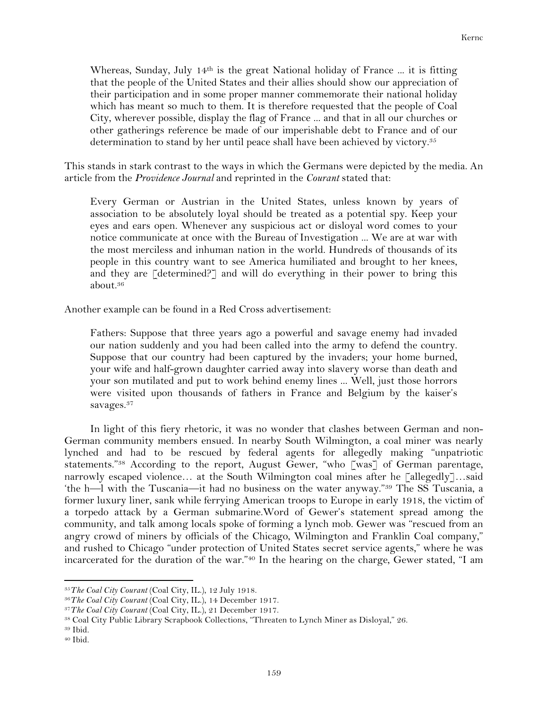Whereas, Sunday, July  $14<sup>th</sup>$  is the great National holiday of France ... it is fitting that the people of the United States and their allies should show our appreciation of their participation and in some proper manner commemorate their national holiday which has meant so much to them. It is therefore requested that the people of Coal City, wherever possible, display the flag of France ... and that in all our churches or other gatherings reference be made of our imperishable debt to France and of our determination to stand by her until peace shall have been achieved by victory.<sup>35</sup>

This stands in stark contrast to the ways in which the Germans were depicted by the media. An article from the *Providence Journal* and reprinted in the *Courant* stated that:

Every German or Austrian in the United States, unless known by years of association to be absolutely loyal should be treated as a potential spy. Keep your eyes and ears open. Whenever any suspicious act or disloyal word comes to your notice communicate at once with the Bureau of Investigation ... We are at war with the most merciless and inhuman nation in the world. Hundreds of thousands of its people in this country want to see America humiliated and brought to her knees, and they are [determined?] and will do everything in their power to bring this about.36

Another example can be found in a Red Cross advertisement:

Fathers: Suppose that three years ago a powerful and savage enemy had invaded our nation suddenly and you had been called into the army to defend the country. Suppose that our country had been captured by the invaders; your home burned, your wife and half-grown daughter carried away into slavery worse than death and your son mutilated and put to work behind enemy lines ... Well, just those horrors were visited upon thousands of fathers in France and Belgium by the kaiser's savages.37

In light of this fiery rhetoric, it was no wonder that clashes between German and non-German community members ensued. In nearby South Wilmington, a coal miner was nearly lynched and had to be rescued by federal agents for allegedly making "unpatriotic statements."38 According to the report, August Gewer, "who [was] of German parentage, narrowly escaped violence... at the South Wilmington coal mines after he [allegedly]...said 'the h—l with the Tuscania—it had no business on the water anyway."39 The SS Tuscania, a former luxury liner, sank while ferrying American troops to Europe in early 1918, the victim of a torpedo attack by a German submarine.Word of Gewer's statement spread among the community, and talk among locals spoke of forming a lynch mob. Gewer was "rescued from an angry crowd of miners by officials of the Chicago, Wilmington and Franklin Coal company," and rushed to Chicago "under protection of United States secret service agents," where he was incarcerated for the duration of the war."40 In the hearing on the charge, Gewer stated, "I am

<sup>35</sup>*The Coal City Courant* (Coal City, IL.), 12 July 1918.

<sup>36</sup>*The Coal City Courant* (Coal City, IL.), 14 December 1917.

<sup>37</sup>*The Coal City Courant* (Coal City, IL.), 21 December 1917.

<sup>38</sup> Coal City Public Library Scrapbook Collections, "Threaten to Lynch Miner as Disloyal," 26. 39 Ibid.

<sup>40</sup> Ibid.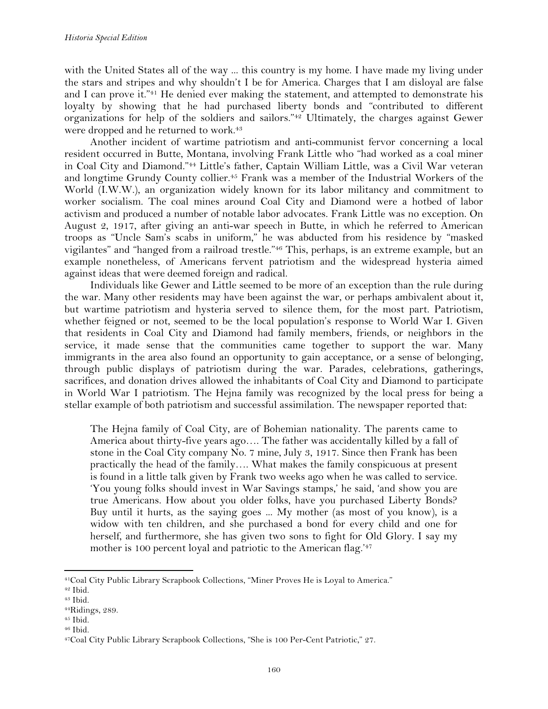with the United States all of the way ... this country is my home. I have made my living under the stars and stripes and why shouldn't I be for America. Charges that I am disloyal are false and I can prove it."41 He denied ever making the statement, and attempted to demonstrate his loyalty by showing that he had purchased liberty bonds and "contributed to different organizations for help of the soldiers and sailors."42 Ultimately, the charges against Gewer were dropped and he returned to work.<sup>43</sup>

Another incident of wartime patriotism and anti-communist fervor concerning a local resident occurred in Butte, Montana, involving Frank Little who "had worked as a coal miner in Coal City and Diamond."44 Little's father, Captain William Little, was a Civil War veteran and longtime Grundy County collier.<sup>45</sup> Frank was a member of the Industrial Workers of the World (I.W.W.), an organization widely known for its labor militancy and commitment to worker socialism. The coal mines around Coal City and Diamond were a hotbed of labor activism and produced a number of notable labor advocates. Frank Little was no exception. On August 2, 1917, after giving an anti-war speech in Butte, in which he referred to American troops as "Uncle Sam's scabs in uniform," he was abducted from his residence by "masked vigilantes" and "hanged from a railroad trestle."46 This, perhaps, is an extreme example, but an example nonetheless, of Americans fervent patriotism and the widespread hysteria aimed against ideas that were deemed foreign and radical.

Individuals like Gewer and Little seemed to be more of an exception than the rule during the war. Many other residents may have been against the war, or perhaps ambivalent about it, but wartime patriotism and hysteria served to silence them, for the most part. Patriotism, whether feigned or not, seemed to be the local population's response to World War I. Given that residents in Coal City and Diamond had family members, friends, or neighbors in the service, it made sense that the communities came together to support the war. Many immigrants in the area also found an opportunity to gain acceptance, or a sense of belonging, through public displays of patriotism during the war. Parades, celebrations, gatherings, sacrifices, and donation drives allowed the inhabitants of Coal City and Diamond to participate in World War I patriotism. The Hejna family was recognized by the local press for being a stellar example of both patriotism and successful assimilation. The newspaper reported that:

The Hejna family of Coal City, are of Bohemian nationality. The parents came to America about thirty-five years ago…. The father was accidentally killed by a fall of stone in the Coal City company No. 7 mine, July 3, 1917. Since then Frank has been practically the head of the family…. What makes the family conspicuous at present is found in a little talk given by Frank two weeks ago when he was called to service. 'You young folks should invest in War Savings stamps,' he said, 'and show you are true Americans. How about you older folks, have you purchased Liberty Bonds? Buy until it hurts, as the saying goes ... My mother (as most of you know), is a widow with ten children, and she purchased a bond for every child and one for herself, and furthermore, she has given two sons to fight for Old Glory. I say my mother is 100 percent loyal and patriotic to the American flag.<sup>'47</sup>

<sup>41</sup>Coal City Public Library Scrapbook Collections, "Miner Proves He is Loyal to America."

<sup>42</sup> Ibid.

<sup>43</sup> Ibid.

<sup>44</sup>Ridings, 289.

 $45$  Ibid.

<sup>46</sup> Ibid.

<sup>47</sup>Coal City Public Library Scrapbook Collections, "She is 100 Per-Cent Patriotic," 27.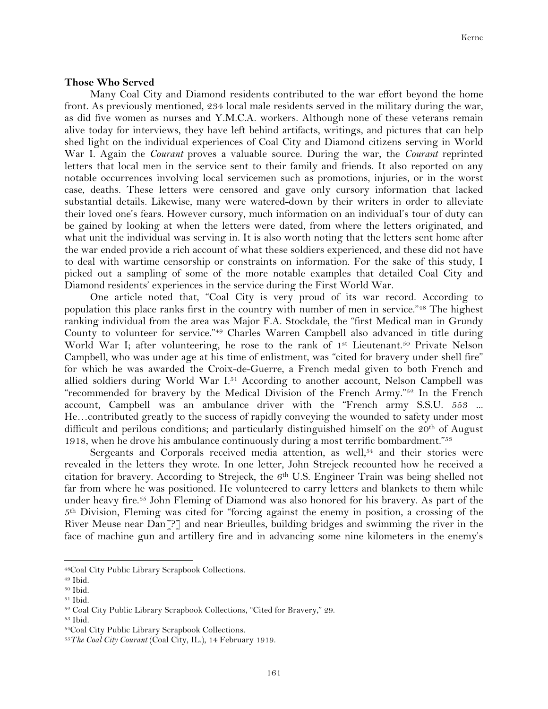#### **Those Who Served**

Many Coal City and Diamond residents contributed to the war effort beyond the home front. As previously mentioned, 234 local male residents served in the military during the war, as did five women as nurses and Y.M.C.A. workers. Although none of these veterans remain alive today for interviews, they have left behind artifacts, writings, and pictures that can help shed light on the individual experiences of Coal City and Diamond citizens serving in World War I. Again the *Courant* proves a valuable source. During the war, the *Courant* reprinted letters that local men in the service sent to their family and friends. It also reported on any notable occurrences involving local servicemen such as promotions, injuries, or in the worst case, deaths. These letters were censored and gave only cursory information that lacked substantial details. Likewise, many were watered-down by their writers in order to alleviate their loved one's fears. However cursory, much information on an individual's tour of duty can be gained by looking at when the letters were dated, from where the letters originated, and what unit the individual was serving in. It is also worth noting that the letters sent home after the war ended provide a rich account of what these soldiers experienced, and these did not have to deal with wartime censorship or constraints on information. For the sake of this study, I picked out a sampling of some of the more notable examples that detailed Coal City and Diamond residents' experiences in the service during the First World War.

One article noted that, "Coal City is very proud of its war record. According to population this place ranks first in the country with number of men in service."48 The highest ranking individual from the area was Major F.A. Stockdale, the "first Medical man in Grundy County to volunteer for service."49 Charles Warren Campbell also advanced in title during World War I; after volunteering, he rose to the rank of 1<sup>st</sup> Lieutenant.<sup>50</sup> Private Nelson Campbell, who was under age at his time of enlistment, was "cited for bravery under shell fire" for which he was awarded the Croix-de-Guerre, a French medal given to both French and allied soldiers during World War I. <sup>51</sup> According to another account, Nelson Campbell was "recommended for bravery by the Medical Division of the French Army."52 In the French account, Campbell was an ambulance driver with the "French army S.S.U. 553 ... He…contributed greatly to the success of rapidly conveying the wounded to safety under most difficult and perilous conditions; and particularly distinguished himself on the  $20<sup>th</sup>$  of August 1918, when he drove his ambulance continuously during a most terrific bombardment."53

Sergeants and Corporals received media attention, as well, $54$  and their stories were revealed in the letters they wrote. In one letter, John Strejeck recounted how he received a citation for bravery. According to Strejeck, the 6th U.S. Engineer Train was being shelled not far from where he was positioned. He volunteered to carry letters and blankets to them while under heavy fire.55 John Fleming of Diamond was also honored for his bravery. As part of the 5th Division, Fleming was cited for "forcing against the enemy in position, a crossing of the River Meuse near Dan[?] and near Brieulles, building bridges and swimming the river in the face of machine gun and artillery fire and in advancing some nine kilometers in the enemy's

<sup>48</sup>Coal City Public Library Scrapbook Collections.

<sup>49</sup> Ibid.

<sup>50</sup> Ibid.

<sup>51</sup> Ibid.

<sup>52</sup> Coal City Public Library Scrapbook Collections, "Cited for Bravery," 29. 53 Ibid.

<sup>54</sup>Coal City Public Library Scrapbook Collections.

<sup>55</sup>*The Coal City Courant* (Coal City, IL.), 14 February 1919.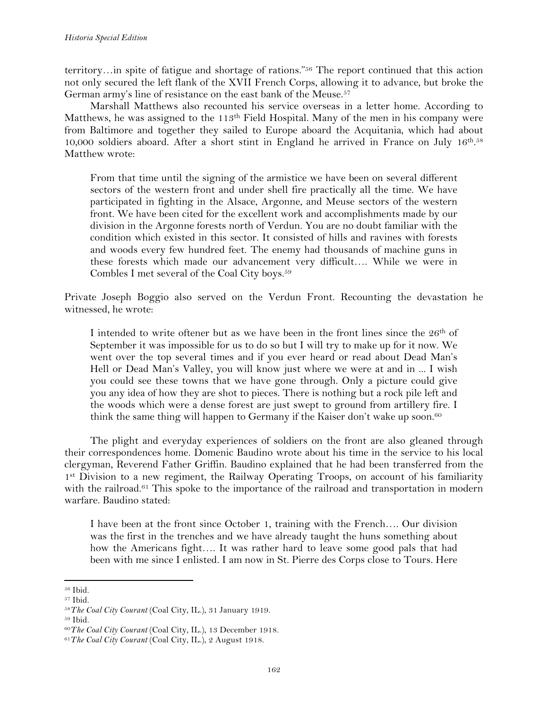territory…in spite of fatigue and shortage of rations."56 The report continued that this action not only secured the left flank of the XVII French Corps, allowing it to advance, but broke the German army's line of resistance on the east bank of the Meuse.<sup>57</sup>

Marshall Matthews also recounted his service overseas in a letter home. According to Matthews, he was assigned to the 113<sup>th</sup> Field Hospital. Many of the men in his company were from Baltimore and together they sailed to Europe aboard the Acquitania, which had about 10,000 soldiers aboard. After a short stint in England he arrived in France on July 16th. 58 Matthew wrote:

From that time until the signing of the armistice we have been on several different sectors of the western front and under shell fire practically all the time. We have participated in fighting in the Alsace, Argonne, and Meuse sectors of the western front. We have been cited for the excellent work and accomplishments made by our division in the Argonne forests north of Verdun. You are no doubt familiar with the condition which existed in this sector. It consisted of hills and ravines with forests and woods every few hundred feet. The enemy had thousands of machine guns in these forests which made our advancement very difficult…. While we were in Combles I met several of the Coal City boys.59

Private Joseph Boggio also served on the Verdun Front. Recounting the devastation he witnessed, he wrote:

I intended to write oftener but as we have been in the front lines since the  $26<sup>th</sup>$  of September it was impossible for us to do so but I will try to make up for it now. We went over the top several times and if you ever heard or read about Dead Man's Hell or Dead Man's Valley, you will know just where we were at and in ... I wish you could see these towns that we have gone through. Only a picture could give you any idea of how they are shot to pieces. There is nothing but a rock pile left and the woods which were a dense forest are just swept to ground from artillery fire. I think the same thing will happen to Germany if the Kaiser don't wake up soon.<sup>60</sup>

The plight and everyday experiences of soldiers on the front are also gleaned through their correspondences home. Domenic Baudino wrote about his time in the service to his local clergyman, Reverend Father Griffin. Baudino explained that he had been transferred from the 1st Division to a new regiment, the Railway Operating Troops, on account of his familiarity with the railroad.<sup>61</sup> This spoke to the importance of the railroad and transportation in modern warfare. Baudino stated:

I have been at the front since October 1, training with the French…. Our division was the first in the trenches and we have already taught the huns something about how the Americans fight…. It was rather hard to leave some good pals that had been with me since I enlisted. I am now in St. Pierre des Corps close to Tours. Here

<sup>56</sup> Ibid.

<sup>57</sup> Ibid.

<sup>58</sup>*The Coal City Courant* (Coal City, IL.), 31 January 1919.

<sup>59</sup> Ibid.

<sup>60</sup>*The Coal City Courant* (Coal City, IL.), 13 December 1918.

<sup>61</sup>*The Coal City Courant* (Coal City, IL.), 2 August 1918.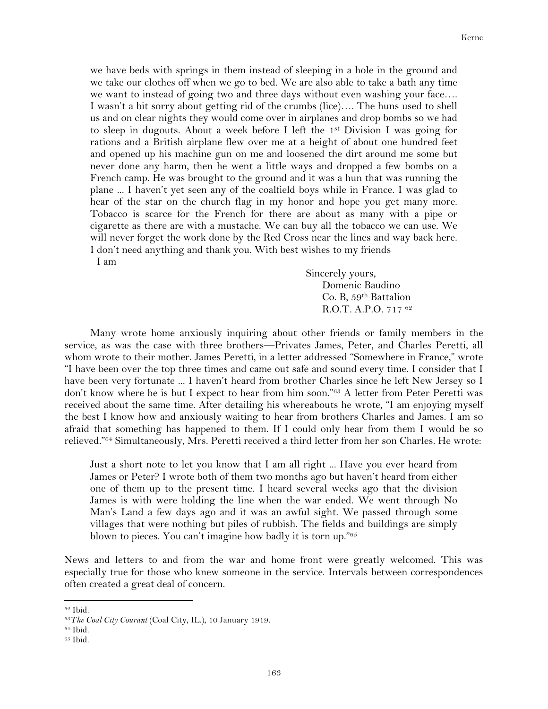we have beds with springs in them instead of sleeping in a hole in the ground and we take our clothes off when we go to bed. We are also able to take a bath any time we want to instead of going two and three days without even washing your face…. I wasn't a bit sorry about getting rid of the crumbs (lice)…. The huns used to shell us and on clear nights they would come over in airplanes and drop bombs so we had to sleep in dugouts. About a week before I left the 1st Division I was going for rations and a British airplane flew over me at a height of about one hundred feet and opened up his machine gun on me and loosened the dirt around me some but never done any harm, then he went a little ways and dropped a few bombs on a French camp. He was brought to the ground and it was a hun that was running the plane ... I haven't yet seen any of the coalfield boys while in France. I was glad to hear of the star on the church flag in my honor and hope you get many more. Tobacco is scarce for the French for there are about as many with a pipe or cigarette as there are with a mustache. We can buy all the tobacco we can use. We will never forget the work done by the Red Cross near the lines and way back here. I don't need anything and thank you. With best wishes to my friends

I am

Sincerely yours, Domenic Baudino Co. B, 59th Battalion R.O.T. A.P.O. 717 62

Many wrote home anxiously inquiring about other friends or family members in the service, as was the case with three brothers—Privates James, Peter, and Charles Peretti, all whom wrote to their mother. James Peretti, in a letter addressed "Somewhere in France," wrote "I have been over the top three times and came out safe and sound every time. I consider that I have been very fortunate ... I haven't heard from brother Charles since he left New Jersey so I don't know where he is but I expect to hear from him soon."63 A letter from Peter Peretti was received about the same time. After detailing his whereabouts he wrote, "I am enjoying myself the best I know how and anxiously waiting to hear from brothers Charles and James. I am so afraid that something has happened to them. If I could only hear from them I would be so relieved."64 Simultaneously, Mrs. Peretti received a third letter from her son Charles. He wrote:

Just a short note to let you know that I am all right ... Have you ever heard from James or Peter? I wrote both of them two months ago but haven't heard from either one of them up to the present time. I heard several weeks ago that the division James is with were holding the line when the war ended. We went through No Man's Land a few days ago and it was an awful sight. We passed through some villages that were nothing but piles of rubbish. The fields and buildings are simply blown to pieces. You can't imagine how badly it is torn up."65

News and letters to and from the war and home front were greatly welcomed. This was especially true for those who knew someone in the service. Intervals between correspondences often created a great deal of concern.

<sup>62</sup> Ibid.

<sup>63</sup>*The Coal City Courant* (Coal City, IL.), 10 January 1919.

<sup>64</sup> Ibid.

<sup>65</sup> Ibid.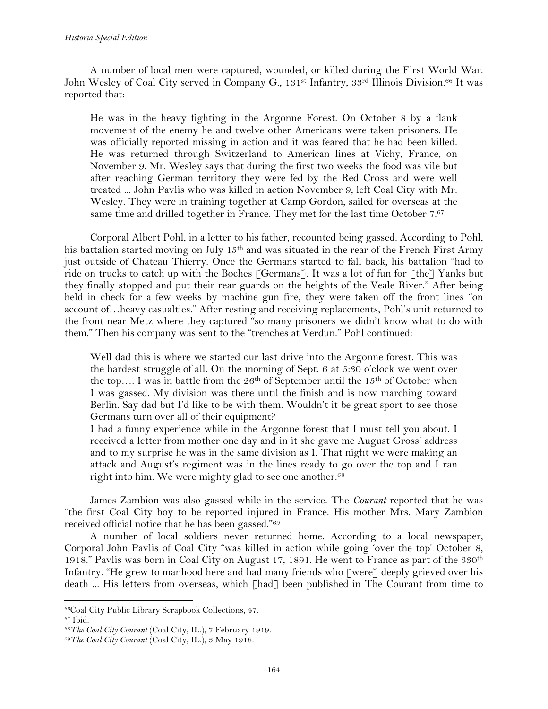A number of local men were captured, wounded, or killed during the First World War. John Wesley of Coal City served in Company G., 131<sup>st</sup> Infantry, 33<sup>rd</sup> Illinois Division.<sup>66</sup> It was reported that:

He was in the heavy fighting in the Argonne Forest. On October 8 by a flank movement of the enemy he and twelve other Americans were taken prisoners. He was officially reported missing in action and it was feared that he had been killed. He was returned through Switzerland to American lines at Vichy, France, on November 9. Mr. Wesley says that during the first two weeks the food was vile but after reaching German territory they were fed by the Red Cross and were well treated ... John Pavlis who was killed in action November 9, left Coal City with Mr. Wesley. They were in training together at Camp Gordon, sailed for overseas at the same time and drilled together in France. They met for the last time October 7.67

Corporal Albert Pohl, in a letter to his father, recounted being gassed. According to Pohl, his battalion started moving on July 15<sup>th</sup> and was situated in the rear of the French First Army just outside of Chateau Thierry. Once the Germans started to fall back, his battalion "had to ride on trucks to catch up with the Boches [Germans]. It was a lot of fun for [the] Yanks but they finally stopped and put their rear guards on the heights of the Veale River." After being held in check for a few weeks by machine gun fire, they were taken off the front lines "on account of…heavy casualties." After resting and receiving replacements, Pohl's unit returned to the front near Metz where they captured "so many prisoners we didn't know what to do with them." Then his company was sent to the "trenches at Verdun." Pohl continued:

Well dad this is where we started our last drive into the Argonne forest. This was the hardest struggle of all. On the morning of Sept. 6 at 5:30 o'clock we went over the top.... I was in battle from the  $26<sup>th</sup>$  of September until the  $15<sup>th</sup>$  of October when I was gassed. My division was there until the finish and is now marching toward Berlin. Say dad but I'd like to be with them. Wouldn't it be great sport to see those Germans turn over all of their equipment?

I had a funny experience while in the Argonne forest that I must tell you about. I received a letter from mother one day and in it she gave me August Gross' address and to my surprise he was in the same division as I. That night we were making an attack and August's regiment was in the lines ready to go over the top and I ran right into him. We were mighty glad to see one another.<sup>68</sup>

James Zambion was also gassed while in the service. The *Courant* reported that he was "the first Coal City boy to be reported injured in France. His mother Mrs. Mary Zambion received official notice that he has been gassed."69

A number of local soldiers never returned home. According to a local newspaper, Corporal John Pavlis of Coal City "was killed in action while going 'over the top' October 8, 1918." Pavlis was born in Coal City on August 17, 1891. He went to France as part of the  $330<sup>th</sup>$ Infantry. "He grew to manhood here and had many friends who [were] deeply grieved over his death ... His letters from overseas, which [had] been published in The Courant from time to

<sup>66</sup>Coal City Public Library Scrapbook Collections, 47.

<sup>67</sup> Ibid.

<sup>68</sup>*The Coal City Courant* (Coal City, IL.), 7 February 1919.

<sup>69</sup>*The Coal City Courant* (Coal City, IL.), 3 May 1918.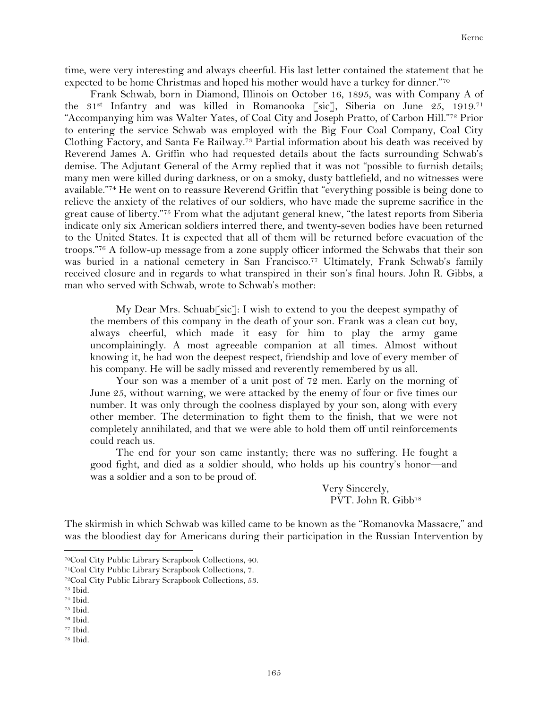time, were very interesting and always cheerful. His last letter contained the statement that he expected to be home Christmas and hoped his mother would have a turkey for dinner."70

Frank Schwab, born in Diamond, Illinois on October 16, 1895, was with Company A of the 31<sup>st</sup> Infantry and was killed in Romanooka [sic], Siberia on June 25, 1919.<sup>71</sup> "Accompanying him was Walter Yates, of Coal City and Joseph Pratto, of Carbon Hill."72 Prior to entering the service Schwab was employed with the Big Four Coal Company, Coal City Clothing Factory, and Santa Fe Railway.73 Partial information about his death was received by Reverend James A. Griffin who had requested details about the facts surrounding Schwab's demise. The Adjutant General of the Army replied that it was not "possible to furnish details; many men were killed during darkness, or on a smoky, dusty battlefield, and no witnesses were available."74 He went on to reassure Reverend Griffin that "everything possible is being done to relieve the anxiety of the relatives of our soldiers, who have made the supreme sacrifice in the great cause of liberty."75 From what the adjutant general knew, "the latest reports from Siberia indicate only six American soldiers interred there, and twenty-seven bodies have been returned to the United States. It is expected that all of them will be returned before evacuation of the troops."76 A follow-up message from a zone supply officer informed the Schwabs that their son was buried in a national cemetery in San Francisco.<sup>77</sup> Ultimately, Frank Schwab's family received closure and in regards to what transpired in their son's final hours. John R. Gibbs, a man who served with Schwab, wrote to Schwab's mother:

My Dear Mrs. Schuab[sic]: I wish to extend to you the deepest sympathy of the members of this company in the death of your son. Frank was a clean cut boy, always cheerful, which made it easy for him to play the army game uncomplainingly. A most agreeable companion at all times. Almost without knowing it, he had won the deepest respect, friendship and love of every member of his company. He will be sadly missed and reverently remembered by us all.

Your son was a member of a unit post of 72 men. Early on the morning of June 25, without warning, we were attacked by the enemy of four or five times our number. It was only through the coolness displayed by your son, along with every other member. The determination to fight them to the finish, that we were not completely annihilated, and that we were able to hold them off until reinforcements could reach us.

The end for your son came instantly; there was no suffering. He fought a good fight, and died as a soldier should, who holds up his country's honor—and was a soldier and a son to be proud of.

> Very Sincerely, PVT. John R. Gibb<sup>78</sup>

The skirmish in which Schwab was killed came to be known as the "Romanovka Massacre," and was the bloodiest day for Americans during their participation in the Russian Intervention by

!!!!!!!!!!!!!!!!!!!!!!!!!!!!!!!!!!!!!!!!!!!!!!!!!!!!!!!!!!!!

<sup>77</sup> Ibid.

<sup>70</sup>Coal City Public Library Scrapbook Collections, 40.

<sup>71</sup>Coal City Public Library Scrapbook Collections, 7.

<sup>72</sup>Coal City Public Library Scrapbook Collections, 53.

<sup>73</sup> Ibid.

<sup>74</sup> Ibid.

<sup>75</sup> Ibid.

<sup>76</sup> Ibid.

<sup>78</sup> Ibid.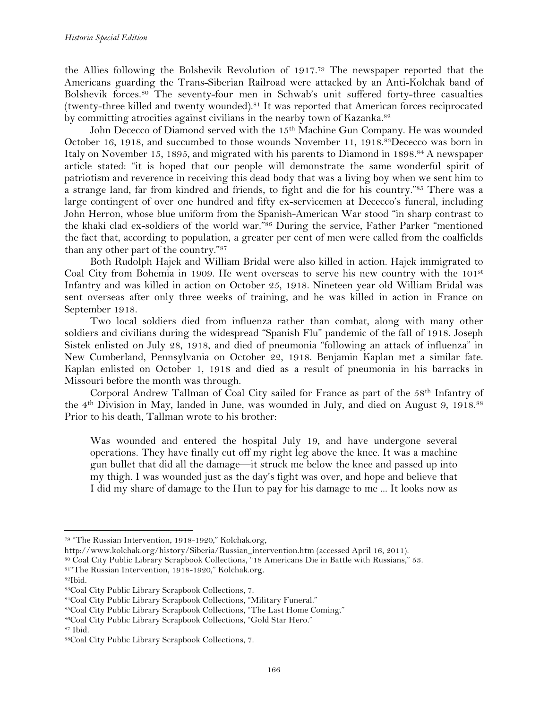the Allies following the Bolshevik Revolution of 1917. <sup>79</sup> The newspaper reported that the Americans guarding the Trans-Siberian Railroad were attacked by an Anti-Kolchak band of Bolshevik forces.80 The seventy-four men in Schwab's unit suffered forty-three casualties (twenty-three killed and twenty wounded).81 It was reported that American forces reciprocated by committing atrocities against civilians in the nearby town of Kazanka.<sup>82</sup>

John Dececco of Diamond served with the 15<sup>th</sup> Machine Gun Company. He was wounded October 16, 1918, and succumbed to those wounds November 11, 1918.83Dececco was born in Italy on November 15, 1895, and migrated with his parents to Diamond in 1898.84 A newspaper article stated: "it is hoped that our people will demonstrate the same wonderful spirit of patriotism and reverence in receiving this dead body that was a living boy when we sent him to a strange land, far from kindred and friends, to fight and die for his country."85 There was a large contingent of over one hundred and fifty ex-servicemen at Dececco's funeral, including John Herron, whose blue uniform from the Spanish-American War stood "in sharp contrast to the khaki clad ex-soldiers of the world war."86 During the service, Father Parker "mentioned the fact that, according to population, a greater per cent of men were called from the coalfields than any other part of the country."87

Both Rudolph Hajek and William Bridal were also killed in action. Hajek immigrated to Coal City from Bohemia in 1909. He went overseas to serve his new country with the 101st Infantry and was killed in action on October 25, 1918. Nineteen year old William Bridal was sent overseas after only three weeks of training, and he was killed in action in France on September 1918.

Two local soldiers died from influenza rather than combat, along with many other soldiers and civilians during the widespread "Spanish Flu" pandemic of the fall of 1918. Joseph Sistek enlisted on July 28, 1918, and died of pneumonia "following an attack of influenza" in New Cumberland, Pennsylvania on October 22, 1918. Benjamin Kaplan met a similar fate. Kaplan enlisted on October 1, 1918 and died as a result of pneumonia in his barracks in Missouri before the month was through.

Corporal Andrew Tallman of Coal City sailed for France as part of the 58th Infantry of the 4th Division in May, landed in June, was wounded in July, and died on August 9, 1918.88 Prior to his death, Tallman wrote to his brother:

Was wounded and entered the hospital July 19, and have undergone several operations. They have finally cut off my right leg above the knee. It was a machine gun bullet that did all the damage—it struck me below the knee and passed up into my thigh. I was wounded just as the day's fight was over, and hope and believe that I did my share of damage to the Hun to pay for his damage to me ... It looks now as

!!!!!!!!!!!!!!!!!!!!!!!!!!!!!!!!!!!!!!!!!!!!!!!!!!!!!!!!!!!!

82Ibid.

<sup>79</sup> "The Russian Intervention, 1918-1920," Kolchak.org,

http://www.kolchak.org/history/Siberia/Russian\_intervention.htm (accessed April 16, 2011).

<sup>80</sup> Coal City Public Library Scrapbook Collections, "18 Americans Die in Battle with Russians," 53. 81"The Russian Intervention, 1918-1920," Kolchak.org.

<sup>83</sup>Coal City Public Library Scrapbook Collections, 7.

<sup>84</sup>Coal City Public Library Scrapbook Collections, "Military Funeral."

<sup>85</sup>Coal City Public Library Scrapbook Collections, "The Last Home Coming."

<sup>86</sup>Coal City Public Library Scrapbook Collections, "Gold Star Hero."

<sup>87</sup> Ibid.

<sup>88</sup>Coal City Public Library Scrapbook Collections, 7.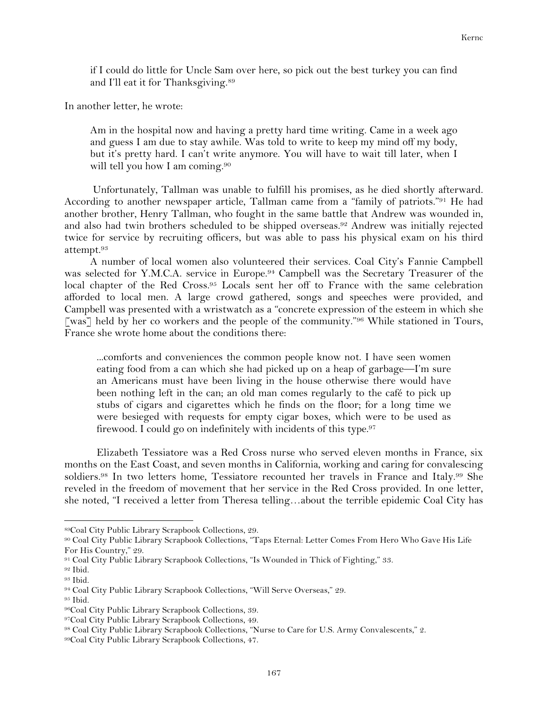if I could do little for Uncle Sam over here, so pick out the best turkey you can find and I'll eat it for Thanksgiving.89

In another letter, he wrote:

Am in the hospital now and having a pretty hard time writing. Came in a week ago and guess I am due to stay awhile. Was told to write to keep my mind off my body, but it's pretty hard. I can't write anymore. You will have to wait till later, when I will tell you how I am coming.<sup>90</sup>

Unfortunately, Tallman was unable to fulfill his promises, as he died shortly afterward. According to another newspaper article, Tallman came from a "family of patriots."91 He had another brother, Henry Tallman, who fought in the same battle that Andrew was wounded in, and also had twin brothers scheduled to be shipped overseas.92 Andrew was initially rejected twice for service by recruiting officers, but was able to pass his physical exam on his third attempt.93

A number of local women also volunteered their services. Coal City's Fannie Campbell was selected for Y.M.C.A. service in Europe.94 Campbell was the Secretary Treasurer of the local chapter of the Red Cross.<sup>95</sup> Locals sent her off to France with the same celebration afforded to local men. A large crowd gathered, songs and speeches were provided, and Campbell was presented with a wristwatch as a "concrete expression of the esteem in which she [was] held by her co workers and the people of the community."<sup>96</sup> While stationed in Tours, France she wrote home about the conditions there:

...comforts and conveniences the common people know not. I have seen women eating food from a can which she had picked up on a heap of garbage—I'm sure an Americans must have been living in the house otherwise there would have been nothing left in the can; an old man comes regularly to the café to pick up stubs of cigars and cigarettes which he finds on the floor; for a long time we were besieged with requests for empty cigar boxes, which were to be used as firewood. I could go on indefinitely with incidents of this type.<sup>97</sup>

Elizabeth Tessiatore was a Red Cross nurse who served eleven months in France, six months on the East Coast, and seven months in California, working and caring for convalescing soldiers.<sup>98</sup> In two letters home, Tessiatore recounted her travels in France and Italy.<sup>99</sup> She reveled in the freedom of movement that her service in the Red Cross provided. In one letter, she noted, "I received a letter from Theresa telling…about the terrible epidemic Coal City has

<sup>89</sup>Coal City Public Library Scrapbook Collections, 29.

<sup>90</sup> Coal City Public Library Scrapbook Collections, "Taps Eternal: Letter Comes From Hero Who Gave His Life For His Country," 29.

<sup>91</sup> Coal City Public Library Scrapbook Collections, "Is Wounded in Thick of Fighting," 33.

<sup>92</sup> Ibid.

<sup>93</sup> Ibid.

<sup>94</sup> Coal City Public Library Scrapbook Collections, "Will Serve Overseas," 29.

<sup>95</sup> Ibid.

<sup>96</sup>Coal City Public Library Scrapbook Collections, 39.

<sup>97</sup>Coal City Public Library Scrapbook Collections, 49.

<sup>98</sup> Coal City Public Library Scrapbook Collections, "Nurse to Care for U.S. Army Convalescents," 2.

<sup>99</sup>Coal City Public Library Scrapbook Collections, 47.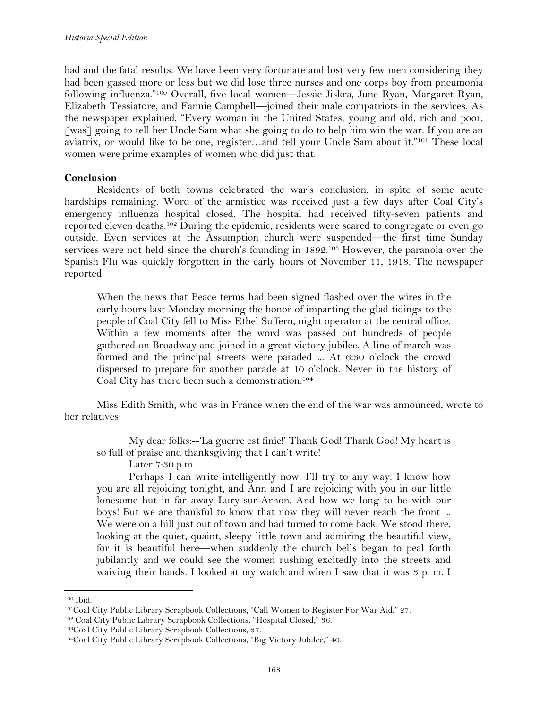had and the fatal results. We have been very fortunate and lost very few men considering they had been gassed more or less but we did lose three nurses and one corps boy from pneumonia following influenza."100 Overall, five local women—Jessie Jiskra, June Ryan, Margaret Ryan, Elizabeth Tessiatore, and Fannie Campbell—joined their male compatriots in the services. As the newspaper explained, "Every woman in the United States, young and old, rich and poor, [was] going to tell her Uncle Sam what she going to do to help him win the war. If you are an aviatrix, or would like to be one, register…and tell your Uncle Sam about it."101 These local women were prime examples of women who did just that.

# **Conclusion**

Residents of both towns celebrated the war's conclusion, in spite of some acute hardships remaining. Word of the armistice was received just a few days after Coal City's emergency influenza hospital closed. The hospital had received fifty-seven patients and reported eleven deaths.102 During the epidemic, residents were scared to congregate or even go outside. Even services at the Assumption church were suspended—the first time Sunday services were not held since the church's founding in 1892.<sup>103</sup> However, the paranoia over the Spanish Flu was quickly forgotten in the early hours of November 11, 1918. The newspaper reported:

When the news that Peace terms had been signed flashed over the wires in the early hours last Monday morning the honor of imparting the glad tidings to the people of Coal City fell to Miss Ethel Suffern, night operator at the central office. Within a few moments after the word was passed out hundreds of people gathered on Broadway and joined in a great victory jubilee. A line of march was formed and the principal streets were paraded ... At 6:30 o'clock the crowd dispersed to prepare for another parade at 10 o'clock. Never in the history of Coal City has there been such a demonstration.104

Miss Edith Smith, who was in France when the end of the war was announced, wrote to her relatives:

My dear folks:--'La guerre est finie!' Thank God! Thank God! My heart is so full of praise and thanksgiving that I can't write!

Later 7:30 p.m.

Perhaps I can write intelligently now. I'll try to any way. I know how you are all rejoicing tonight, and Ann and I are rejoicing with you in our little lonesome hut in far away Lury-sur-Arnon. And how we long to be with our boys! But we are thankful to know that now they will never reach the front ... We were on a hill just out of town and had turned to come back. We stood there, looking at the quiet, quaint, sleepy little town and admiring the beautiful view, for it is beautiful here—when suddenly the church bells began to peal forth jubilantly and we could see the women rushing excitedly into the streets and waiving their hands. I looked at my watch and when I saw that it was 3 p. m. I

<sup>100</sup> Ibid.

<sup>101</sup>Coal City Public Library Scrapbook Collections, "Call Women to Register For War Aid," 27.

<sup>102</sup> Coal City Public Library Scrapbook Collections, "Hospital Closed," 36.

<sup>103</sup>Coal City Public Library Scrapbook Collections, 37.

<sup>104</sup>Coal City Public Library Scrapbook Collections, "Big Victory Jubilee," 40.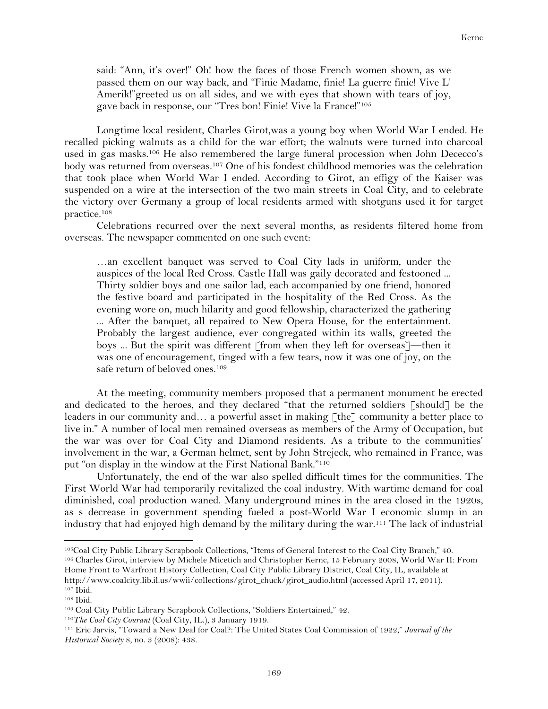said: "Ann, it's over!" Oh! how the faces of those French women shown, as we passed them on our way back, and "Finie Madame, finie! La guerre finie! Vive L' Amerik!"greeted us on all sides, and we with eyes that shown with tears of joy, gave back in response, our "Tres bon! Finie! Vive la France!"105

Longtime local resident, Charles Girot,was a young boy when World War I ended. He recalled picking walnuts as a child for the war effort; the walnuts were turned into charcoal used in gas masks.106 He also remembered the large funeral procession when John Dececco's body was returned from overseas.107 One of his fondest childhood memories was the celebration that took place when World War I ended. According to Girot, an effigy of the Kaiser was suspended on a wire at the intersection of the two main streets in Coal City, and to celebrate the victory over Germany a group of local residents armed with shotguns used it for target practice.108

Celebrations recurred over the next several months, as residents filtered home from overseas. The newspaper commented on one such event:

…an excellent banquet was served to Coal City lads in uniform, under the auspices of the local Red Cross. Castle Hall was gaily decorated and festooned ... Thirty soldier boys and one sailor lad, each accompanied by one friend, honored the festive board and participated in the hospitality of the Red Cross. As the evening wore on, much hilarity and good fellowship, characterized the gathering ... After the banquet, all repaired to New Opera House, for the entertainment. Probably the largest audience, ever congregated within its walls, greeted the boys ... But the spirit was different [from when they left for overseas]—then it was one of encouragement, tinged with a few tears, now it was one of joy, on the safe return of beloved ones.<sup>109</sup>

At the meeting, community members proposed that a permanent monument be erected and dedicated to the heroes, and they declared "that the returned soldiers [should] be the leaders in our community and... a powerful asset in making [the] community a better place to live in." A number of local men remained overseas as members of the Army of Occupation, but the war was over for Coal City and Diamond residents. As a tribute to the communities' involvement in the war, a German helmet, sent by John Strejeck, who remained in France, was put "on display in the window at the First National Bank."110

Unfortunately, the end of the war also spelled difficult times for the communities. The First World War had temporarily revitalized the coal industry. With wartime demand for coal diminished, coal production waned. Many underground mines in the area closed in the 1920s, as s decrease in government spending fueled a post-World War I economic slump in an industry that had enjoyed high demand by the military during the war. <sup>111</sup> The lack of industrial

<sup>106</sup> Charles Girot, interview by Michele Micetich and Christopher Kernc, 15 February 2008, World War II: From Home Front to Warfront History Collection, Coal City Public Library District, Coal City, IL, available at http://www.coalcity.lib.il.us/wwii/collections/girot\_chuck/girot\_audio.html (accessed April 17, 2011).

<sup>105</sup>Coal City Public Library Scrapbook Collections, "Items of General Interest to the Coal City Branch," 40.

<sup>107</sup> Ibid. <sup>108</sup> Ibid.

<sup>109</sup> Coal City Public Library Scrapbook Collections, "Soldiers Entertained," 42.

<sup>110</sup>*The Coal City Courant* (Coal City, IL.), 3 January 1919.

<sup>111</sup> Eric Jarvis, "Toward a New Deal for Coal?: The United States Coal Commission of 1922," *Journal of the Historical Society* 8, no. 3 (2008): 438.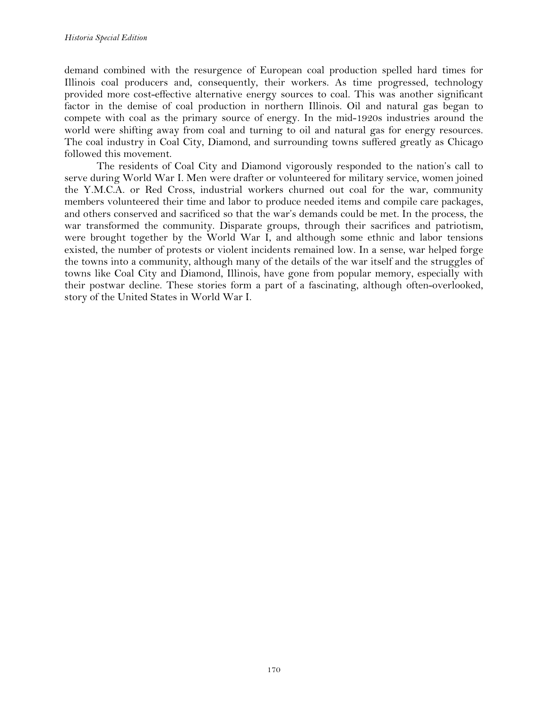demand combined with the resurgence of European coal production spelled hard times for Illinois coal producers and, consequently, their workers. As time progressed, technology provided more cost-effective alternative energy sources to coal. This was another significant factor in the demise of coal production in northern Illinois. Oil and natural gas began to compete with coal as the primary source of energy. In the mid-1920s industries around the world were shifting away from coal and turning to oil and natural gas for energy resources. The coal industry in Coal City, Diamond, and surrounding towns suffered greatly as Chicago followed this movement.

The residents of Coal City and Diamond vigorously responded to the nation's call to serve during World War I. Men were drafter or volunteered for military service, women joined the Y.M.C.A. or Red Cross, industrial workers churned out coal for the war, community members volunteered their time and labor to produce needed items and compile care packages, and others conserved and sacrificed so that the war's demands could be met. In the process, the war transformed the community. Disparate groups, through their sacrifices and patriotism, were brought together by the World War I, and although some ethnic and labor tensions existed, the number of protests or violent incidents remained low. In a sense, war helped forge the towns into a community, although many of the details of the war itself and the struggles of towns like Coal City and Diamond, Illinois, have gone from popular memory, especially with their postwar decline. These stories form a part of a fascinating, although often-overlooked, story of the United States in World War I.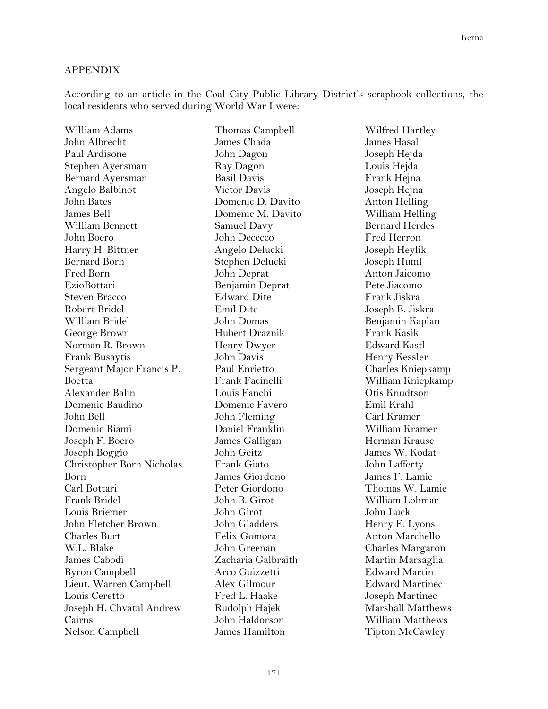## APPENDIX

According to an article in the Coal City Public Library District's scrapbook collections, the local residents who served during World War I were:

William Adams John Albrecht Paul Ardisone Stephen Ayersman Bernard Ayersman Angelo Balbinot John Bates James Bell William Bennett John Boero Harry H. Bittner Bernard Born Fred Born EzioBottari Steven Bracco Robert Bridel William Bridel George Brown Norman R. Brown Frank Busaytis Sergeant Major Francis P. Boetta Alexander Balin Domenic Baudino John Bell Domenic Biami Joseph F. Boero Joseph Boggio Christopher Born Nicholas Born Carl Bottari Frank Bridel Louis Briemer John Fletcher Brown Charles Burt W.L. Blake James Cabodi Byron Campbell Lieut. Warren Campbell Louis Ceretto Joseph H. Chvatal Andrew Cairns Nelson Campbell

Thomas Campbell James Chada John Dagon Ray Dagon Basil Davis Victor Davis Domenic D. Davito Domenic M. Davito Samuel Davy John Dececco Angelo Delucki Stephen Delucki John Deprat Benjamin Deprat Edward Dite Emil Dite John Domas Hubert Draznik Henry Dwyer John Davis Paul Enrietto Frank Facinelli Louis Fanchi Domenic Favero John Fleming Daniel Franklin James Galligan John Geitz Frank Giato James Giordono Peter Giordono John B. Girot John Girot John Gladders Felix Gomora John Greenan Zacharia Galbraith Arco Guizzetti Alex Gilmour Fred L. Haake Rudolph Hajek John Haldorson James Hamilton

Wilfred Hartley James Hasal Joseph Hejda Louis Hejda Frank Hejna Joseph Hejna Anton Helling William Helling Bernard Herdes Fred Herron Joseph Heylik Joseph Huml Anton Jaicomo Pete Jiacomo Frank Jiskra Joseph B. Jiskra Benjamin Kaplan Frank Kasik Edward Kastl Henry Kessler Charles Kniepkamp William Kniepkamp Otis Knudtson Emil Krahl Carl Kramer William Kramer Herman Krause James W. Kodat John Lafferty James F. Lamie Thomas W. Lamie William Lohmar John Luck Henry E. Lyons Anton Marchello Charles Margaron Martin Marsaglia Edward Martin Edward Martinec Joseph Martinec Marshall Matthews William Matthews Tipton McCawley